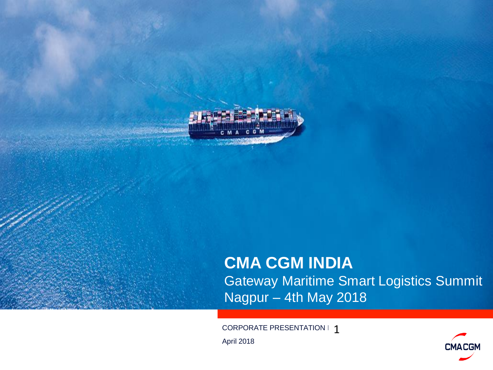

.<br>Ali serikal

### **CMA CGM INDIA** Gateway Maritime Smart Logistics Summit Nagpur – 4th May 2018

CORPORATE PRESENTATION  $\vdash \mathbf{1}$ 

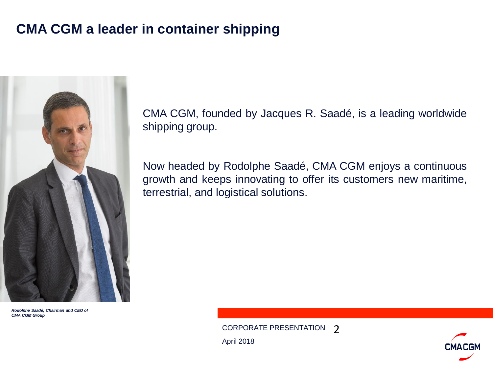### **CMA CGM a leader in container shipping**



*Rodolphe Saadé, Chairman and CEO of CMA CGM Group*

CMA CGM, founded by Jacques R. Saadé, is a leading worldwide shipping group.

Now headed by Rodolphe Saadé, CMA CGM enjoys a continuous growth and keeps innovating to offer its customers new maritime, terrestrial, and logistical solutions.

CORPORATE PRESENTATION  $\mid$  2

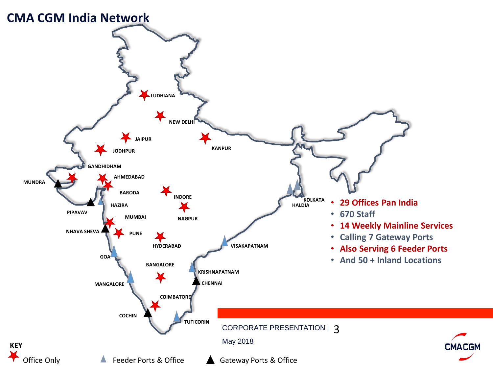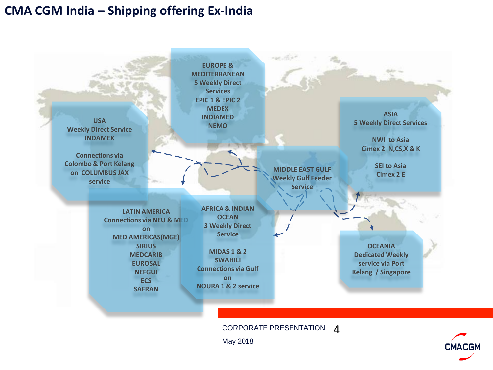#### **CMA CGM India – Shipping offering Ex-India**



CORPORATE PRESENTATION  $\vdash$  4

May 2018

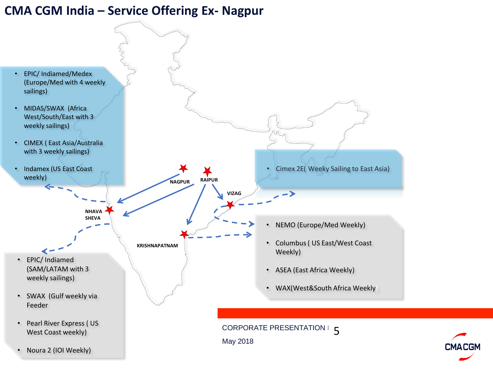#### **CMA CGM India – Service Offering Ex- Nagpur**



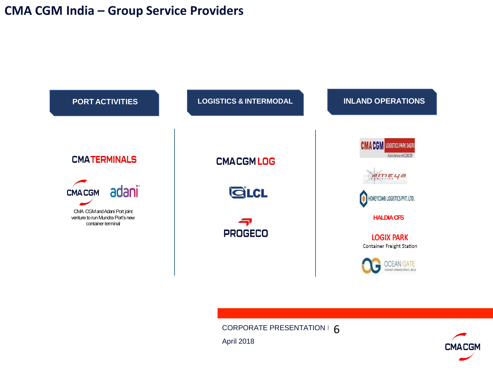#### **CMA CGM India – Group Service Providers**



CORPORATE PRESENTATION  $\vdash$   $6$ 

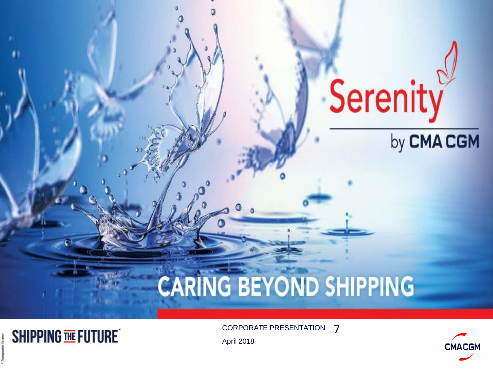## Serenity by CMA CGM

# **CARING BEYOND SHIPPING**

 $\texttt{CORPORTE PRESENTATION} \mid \textbf{7}$ 

**CMACGM**